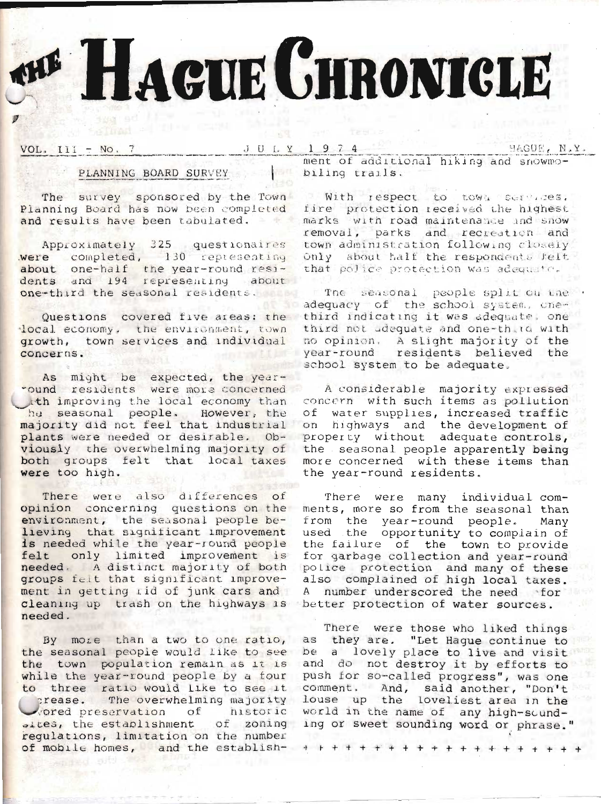# HAGUE GHRONICLE

VOL.  $III = No. 7$ 

#### HAGUE, N.Y.

# PLANNING BOARD SURVEY

The survey sponsored by the Town Planning Board has now been completed and results have been tabulated.

Approximately 325 questionaires<br>vere completed, 130 representing about one-half the year-round resi-<br>dents and 194 representing about one-third the seasonal residents.

Questions covered five areas: the local economy, the environment, town growth, town services and individual concerns.

As might be expected, the yearound residents were more concerned ith improving the local economy than he seasonal people. However, the majority did not feel that industrial plants were needed or desirable. Obviously the overwhelming majority of both groups felt that local taxes were too high.

There were also differences of opinion concerning questions on the environment, the seasonal people believing that significant improvement is needed while the year-round people felt only limited improvement is needed. A distinct majority of both groups felt that significant improvement in getting rid of junk cars and cleaning up trash on the highways is needed.

By more than a two to one ratio, the seasonal people would like to see the town population remain as it is while the year-round people by a four to three ratio would like to see it comment. And, said another, "Don't vored preservation of historic requlations, limitation on the number of mobile homes, and the establish-

ment of additional hiking and snowmobiling trails.

With respect to town services, fire protection received the highest marks with road maintenance and snow removal, parks and recreation and town administration following closely Only about half the respondents felt that police protection was adequate.

The seasonal people split on the adequacy of the school system, onethird indicating it was adequate, one third not adequate and one-third with no opinion. A slight majority of the year-round residents believed the school system to be adequate.

A considerable majority expressed concern with such items as pollution of water supplies, increased traffic on highways and the development of property without adequate controls, the seasonal people apparently being more concerned with these items than the year-round residents.

There were many individual comments, more so from the seasonal than from the year-round people. Many used the opportunity to complain of the failure of the town to provide for garbage collection and year-round police protection and many of these<br>also complained of high local taxes. A number underscored the need for better protection of water sources.

There were those who liked things as they are. "Let Haque continue to be a lovely place to live and visit and do not destroy it by efforts to push for so-called progress", was one prease. The overwhelming majority louse up the loveliest area in the world in the name of any high-sound-.tes, the establishment of zoning ing or sweet sounding word or phrase."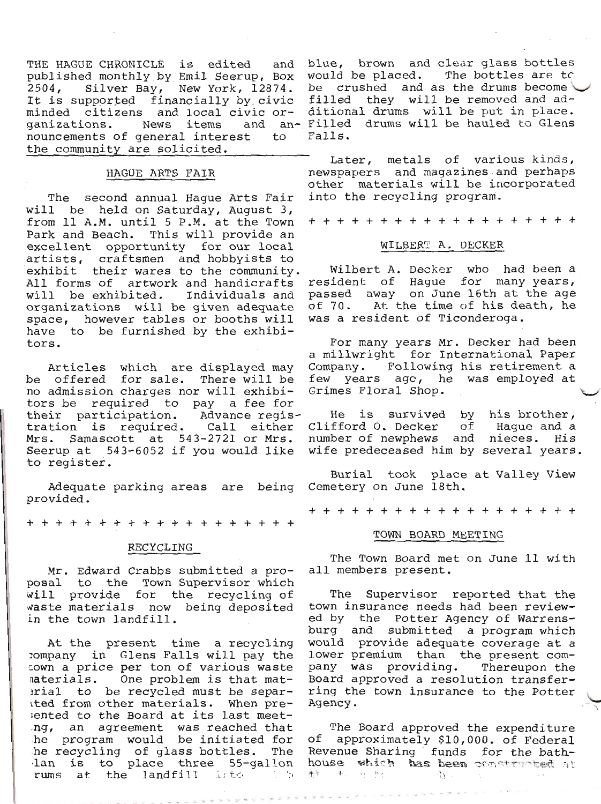$2504,$ It is supported financially by civic filled they will be removed and adminded citizens and local civic or- ditional drums will be put in place. ganizations. News items nouncements of general interest to the community are solicited.

## HAGUE ARTS FAIR

The second annual Haque Arts Fair will be held on Saturday, August 3, from 11 A.M. until 5 P.M. at the Town Park and Beach. This will provide an excellent opportunity for our local artists, craftsmen and hobbyists to exhibit their wares to the community. All forms of artwork and handicrafts will be exhibited. Individuals and organizations will be given adequate space, however tables or booths will have to be furnished by the exhibitors.

Articles which are displayed may be offered for sale. There will be no admission charges nor will exhibitors be required to pay a fee for their participation. Advance registration is required. Call either Mrs. Samascott at 543-2721 or Mrs. Seerup at 543-6052 if you would like to register.

Adequate parking areas are being provided.

+ + + + + + + + + + + + + + + + + +

#### RECYCLING

Mr. Edward Crabbs submitted a proposal to the Town Supervisor which will provide for the recycling of waste materials now being deposited in the town landfill.

At the present time a recycling company in Glens Falls will pay the cown a price per ton of various waste materials. One problem is that material to be recycled must be separited from other materials. When presented to the Board at its last meetng, an agreement was reached that<br>he program would be initiated for he recycling of glass bottles. The lan is to place three 55-gallon rums at the landfill into  $\mathcal{L}$ 

THE HAGUE CHRONICLE is edited and blue, brown and clear glass bottles<br>published monthly by Emil Seerup, Box would be placed. The bottles are to Silver Bay, New York, 12874. be crushed and as the drums become and an- Filled drums will be hauled to Glens Falls.

> Later, metals of various kinds,<br>newspapers and magazines and perhaps other materials will be incorporated into the recycling program.

> + + + + + + + + + + + + + + + + + +

#### WILBERT A. DECKER

Wilbert A. Decker who had been a resident of Hague for many years, passed away on June 16th at the age of 70. At the time of his death, he was a resident of Ticonderoga.

For many years Mr. Decker had been<br>a millwright for International Paper Company. Following his retirement a few years ago, he was employed at Grimes Floral Shop.

He is survived by his brother, Clifford 0. Decker of Haque and a number of newphews and nieces. His wife predeceased him by several years.

Burial took place at Valley View Cemetery on June 18th.

+ + + + + + + + + + + + + + + + + +

## TOWN BOARD MEETING

The Town Board met on June 11 with all members present.

The Supervisor reported that the town insurance needs had been reviewed by the Potter Agency of Warrensburg and submitted a program which would provide adequate coverage at a lower premium than the present company was providing. Thereupon the Board approved a resolution transferring the town insurance to the Potter Agency.

The Board approved the expenditure of approximately \$10,000. of Federal Revenue Sharing funds for the bathhouse which has been constructed at 野 セッツ トロ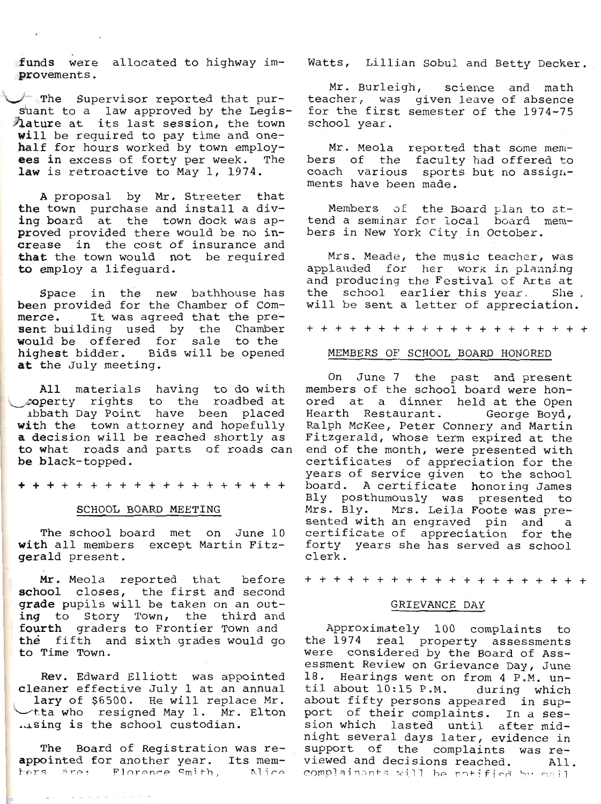funds were allocated to highway im-<br>provements.

The Supervisor reported that pur-<br>suant to a law approved by the Legis-<br>lature at its last session, the town<br>will be required to pay time and one-<br>half for hours worked by town employ-<br>ees in excess of forty per week. The<br>

A proposal by Mr. Streeter that<br>the town purchase and install a div-<br>ing board at the town dock was ap-<br>proved provided there would be no in-<br>crease in the cost of insurance and<br>that the town would not be required<br>to emplo

Space in the new bathhouse has<br>been provided for the Chamber of Com-<br>merce. It was agreed that the pre-<br>sent building used by the Chamber<br>would be offered for sale to the<br>highest bidder. Bids will be opened<br>at the July mee

All materials having to do with<br>
coperty rights to the roadbed at<br>
abbath Day Point have been placed<br>
with the town attorney and hopefully<br>
a decision will be reached shortly as<br>
to what roads and parts of roads can<br>
be bl

+++++++++++++++++++

#### SCHOOL BOARD MEETING

The school board met on June 10<br>with all members except Martin Fitz-<br>gerald present.

Mr. Meola reported that before<br>school closes, the first and second<br>grade pupils will be taken on an out-<br>ing to Story Town, the third and<br>fourth graders to Frontier Town and<br>the fifth and sixth grades would go<br>to Time Town

Rev. Edward Elliott was appointed<br>cleaner effective July 1 at an annual<br>lary of \$6500. He will replace Mr.<br>
\-tta who resigned May 1. Mr. Elton . ising is the school custodian.

The Board of Registration was re-<br>appointed for another year. Its mem-<br>hers are: Plorence Smith, Alice

t.

Watts, Lillian Sobul and Betty Decker.

Mr. Burleigh, science and math teacher, was given leave of absence for the first semester of the 1974-75 school year.

Mr. Meola reported that some members of the faculty had offered to coach various sports but no assign-<br>ments have been made.

Members of the Board plan to at-<br>tend a seminar for local board mem-<br>bers in New York City in October.

Mrs. Meade, the music teacher, was applauded for her work in planning<br>and producing the Festival of Arts at<br>the school earlier this year. She.<br>will be sent a letter of appreciation.

++++++++++++++++++++

## MEMBERS OF SCHOOL BOARD HONORED

On June 7 the past and present<br>members of the school board were hon-<br>ored at a dinner held at the Open<br>Hearth Restaurant. George Boyd,<br>Ralph McKee, Peter Connery and Martin Fitzgerald, whose term expired at the<br>end of the month, were presented with<br>certificates of appreciation for the<br>years of service given to the school<br>board. A certificate honoring James<br>Bly posthumously was presented to<br>Mr

++++++++++++++++++++

## GRTEVANCE DAY

Approximately 100 complaints to<br>the 1974 feal property assessments<br>were considered by the Board of Ass-<br>essment Review on Grievance Day, June<br>18. Hearings went on from 4 P.M. until about 10:15 P.M. during which<br>about fifty persons appeared in sup-<br>port of their complaints. In a ses-<br>sion which lasted until after mid-<br>night several days later, evidence in<br>support of the complaints was re-<br>viewed a